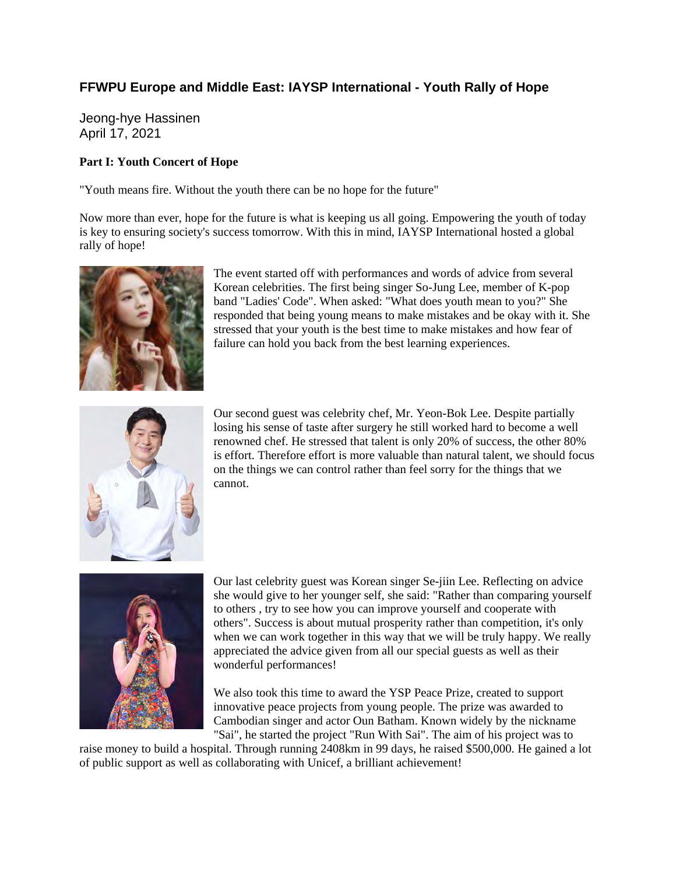## **FFWPU Europe and Middle East: IAYSP International - Youth Rally of Hope**

Jeong-hye Hassinen April 17, 2021

## **Part I: Youth Concert of Hope**

"Youth means fire. Without the youth there can be no hope for the future"

Now more than ever, hope for the future is what is keeping us all going. Empowering the youth of today is key to ensuring society's success tomorrow. With this in mind, IAYSP International hosted a global rally of hope!



The event started off with performances and words of advice from several Korean celebrities. The first being singer So-Jung Lee, member of K-pop band "Ladies' Code". When asked: "What does youth mean to you?" She responded that being young means to make mistakes and be okay with it. She stressed that your youth is the best time to make mistakes and how fear of failure can hold you back from the best learning experiences.



Our second guest was celebrity chef, Mr. Yeon-Bok Lee. Despite partially losing his sense of taste after surgery he still worked hard to become a well renowned chef. He stressed that talent is only 20% of success, the other 80% is effort. Therefore effort is more valuable than natural talent, we should focus on the things we can control rather than feel sorry for the things that we cannot.



Our last celebrity guest was Korean singer Se-jiin Lee. Reflecting on advice she would give to her younger self, she said: "Rather than comparing yourself to others , try to see how you can improve yourself and cooperate with others". Success is about mutual prosperity rather than competition, it's only when we can work together in this way that we will be truly happy. We really appreciated the advice given from all our special guests as well as their wonderful performances!

We also took this time to award the YSP Peace Prize, created to support innovative peace projects from young people. The prize was awarded to Cambodian singer and actor Oun Batham. Known widely by the nickname "Sai", he started the project "Run With Sai". The aim of his project was to

raise money to build a hospital. Through running 2408km in 99 days, he raised \$500,000. He gained a lot of public support as well as collaborating with Unicef, a brilliant achievement!